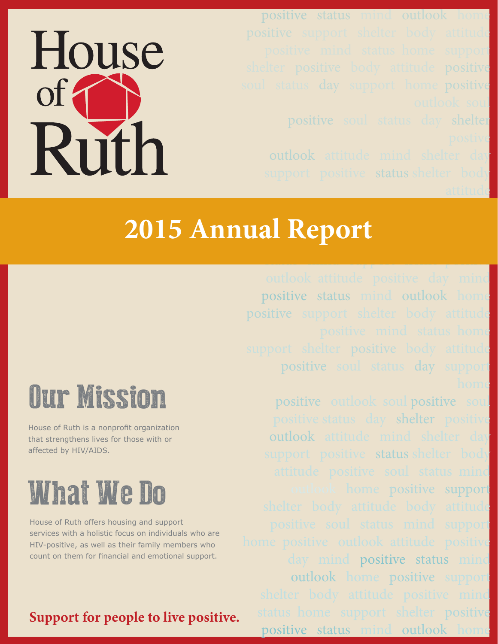positive status mind outlook home positive soul status day shelter outlook attitude mind shelter day support positive status shelter body

attitude

# House of Ruth

### home positive support support support support support support support support support support support support attitudebody attitude positive soul **2015 Annual Report**

positive status mind outlook home positive support shelter body attitude positive soul status day support

status mind support home positive

positive outlook soul positive soul positive status day shelter positive outlook attitude mind shelter day support positive status shelter body home positive support day mind positive status mind outlook home positive support status home support shelter positive positive status mind outlook home

# Our Mission

House of Ruth is a nonprofit organization that strengthens lives for those with or affected by HIV/AIDS.

## What We Do

House of Ruth offers housing and support services with a holistic focus on individuals who are HIV-positive, as well as their family members who count on them for financial and emotional support.

### **Support for people to live positive.**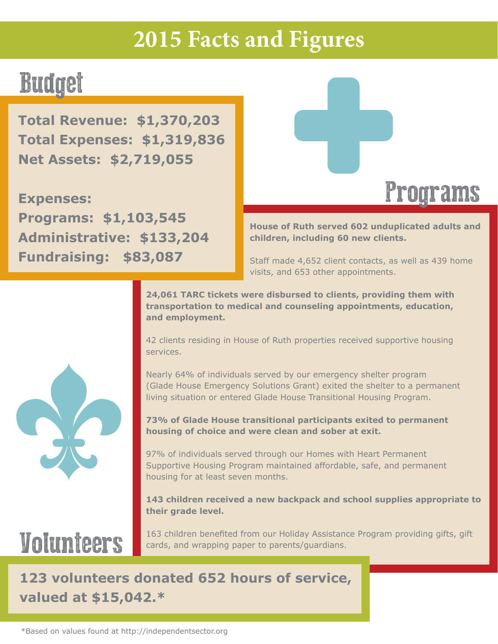### **2015 Facts and Figures**

### Budget

**Total Revenue: \$1,370,203 Total Expenses: \$1,319,836 Net Assets: \$2,719,055**

**Expenses: Programs: \$1,103,545 Administrative: \$133,204 Fundraising: \$83,087**



**House of Ruth served 602 unduplicated adults and children, including 60 new clients.** 

Staff made 4,652 client contacts, as well as 439 home visits, and 653 other appointments.

**24,061 TARC tickets were disbursed to clients, providing them with transportation to medical and counseling appointments, education, and employment.**

42 clients residing in House of Ruth properties received supportive housing services.

Nearly 64% of individuals served by our emergency shelter program (Glade House Emergency Solutions Grant) exited the shelter to a permanent living situation or entered Glade House Transitional Housing Program.

**73% of Glade House transitional participants exited to permanent housing of choice and were clean and sober at exit.**

97% of individuals served through our Homes with Heart Permanent Supportive Housing Program maintained affordable, safe, and permanent housing for at least seven months.

**143 children received a new backpack and school supplies appropriate to their grade level.**

### Volunteers

163 children benefited from our Holiday Assistance Program providing gifts, gift cards, and wrapping paper to parents/guardians.

### **123 volunteers donated 652 hours of service, valued at \$15,042.\***

\*Based on values found at http://independentsector.org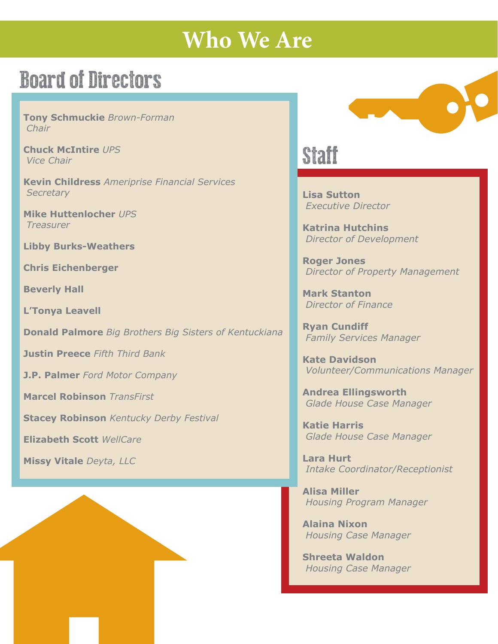### **Who We Are**

### Board of Directors

**Tony Schmuckie** *Brown-Forman Chair* 

**Chuck McIntire** *UPS Vice Chair*

**Kevin Childress** *Ameriprise Financial Services Secretary*

**Mike Huttenlocher** *UPS Treasurer*

**Libby Burks-Weathers**

**Chris Eichenberger**

**Beverly Hall**

**L'Tonya Leavell**

**Donald Palmore** *Big Brothers Big Sisters of Kentuckiana*

**Justin Preece** *Fifth Third Bank*

**J.P. Palmer** *Ford Motor Company*

**Marcel Robinson** *TransFirst*

**Stacey Robinson** *Kentucky Derby Festival*

**Elizabeth Scott** *WellCare*

**Missy Vitale** *Deyta, LLC*



### **Staff**

**Lisa Sutton**  *Executive Director*

**Katrina Hutchins**  *Director of Development*

**Roger Jones** *Director of Property Management*

**Mark Stanton** *Director of Finance*

**Ryan Cundiff**  *Family Services Manager*

**Kate Davidson**  *Volunteer/Communications Manager*

**Andrea Ellingsworth**  *Glade House Case Manager* 

**Katie Harris**  *Glade House Case Manager*

**Lara Hurt**  *Intake Coordinator/Receptionist*

**Alisa Miller**  *Housing Program Manager*

**Alaina Nixon** *Housing Case Manager*

**Shreeta Waldon** *Housing Case Manager*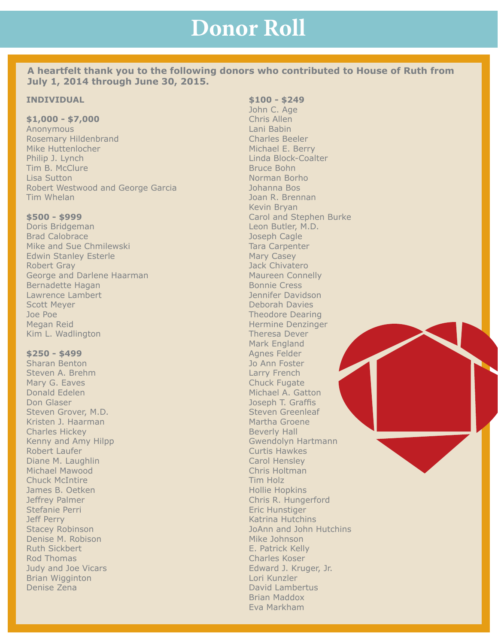**A heartfelt thank you to the following donors who contributed to House of Ruth from July 1, 2014 through June 30, 2015.**

#### **INDIVIDUAL**

#### **\$1,000 - \$7,000**

Anonymous Rosemary Hildenbrand Mike Huttenlocher Philip J. Lynch Tim B. McClure Lisa Sutton Robert Westwood and George Garcia Tim Whelan

#### **\$500 - \$999**

Doris Bridgeman Brad Calobrace Mike and Sue Chmilewski Edwin Stanley Esterle Robert Gray George and Darlene Haarman Bernadette Hagan Lawrence Lambert Scott Meyer Joe Poe Megan Reid Kim L. Wadlington

#### **\$250 - \$499**

Sharan Benton Steven A. Brehm Mary G. Eaves Donald Edelen Don Glaser Steven Grover, M.D. Kristen J. Haarman Charles Hickey Kenny and Amy Hilpp Robert Laufer Diane M. Laughlin Michael Mawood Chuck McIntire James B. Oetken Jeffrey Palmer Stefanie Perri Jeff Perry Stacey Robinson Denise M. Robison Ruth Sickbert Rod Thomas Judy and Joe Vicars Brian Wigginton Denise Zena

#### **\$100 - \$249**

John C. Age Chris Allen Lani Babin Charles Beeler Michael E. Berry Linda Block-Coalter Bruce Bohn Norman Borho Johanna Bos Joan R. Brennan Kevin Bryan Carol and Stephen Burke Leon Butler, M.D. Joseph Cagle Tara Carpenter Mary Casey Jack Chivatero Maureen Connelly Bonnie Cress Jennifer Davidson Deborah Davies Theodore Dearing Hermine Denzinger Theresa Dever Mark England Agnes Felder Jo Ann Foster Larry French Chuck Fugate Michael A. Gatton Joseph T. Graffis Steven Greenleaf Martha Groene Beverly Hall Gwendolyn Hartmann Curtis Hawkes Carol Hensley Chris Holtman Tim Holz Hollie Hopkins Chris R. Hungerford Eric Hunstiger Katrina Hutchins JoAnn and John Hutchins Mike Johnson E. Patrick Kelly Charles Koser Edward J. Kruger, Jr. Lori Kunzler David Lambertus Brian Maddox Eva Markham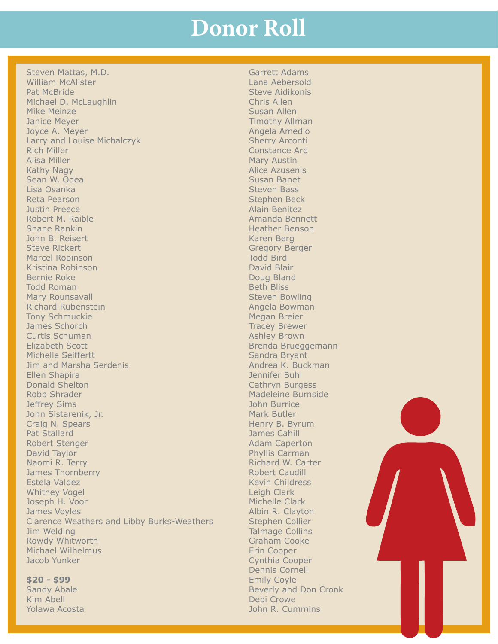Steven Mattas, M.D. William McAlister Pat McBride Michael D. McLaughlin Mike Meinze Janice Meyer Joyce A. Meyer Larry and Louise Michalczyk Rich Miller Alisa Miller Kathy Nagy Sean W. Odea Lisa Osanka Reta Pearson Justin Preece Robert M. Raible Shane Rankin John B. Reisert Steve Rickert Marcel Robinson Kristina Robinson Bernie Roke Todd Roman Mary Rounsavall Richard Rubenstein Tony Schmuckie James Schorch Curtis Schuman Elizabeth Scott Michelle Seiffertt Jim and Marsha Serdenis Ellen Shapira Donald Shelton Robb Shrader Jeffrey Sims John Sistarenik, Jr. Craig N. Spears Pat Stallard Robert Stenger David Taylor Naomi R. Terry James Thornberry Estela Valdez Whitney Vogel Joseph H. Voor James Voyles Clarence Weathers and Libby Burks-Weathers Jim Welding Rowdy Whitworth Michael Wilhelmus Jacob Yunker

#### **\$20 - \$99**

Sandy Abale Kim Abell Yolawa Acosta

Garrett Adams Lana Aebersold Steve Aidikonis Chris Allen Susan Allen Timothy Allman Angela Amedio Sherry Arconti Constance Ard Mary Austin Alice Azusenis Susan Banet Steven Bass Stephen Beck Alain Benitez Amanda Bennett Heather Benson Karen Berg Gregory Berger Todd Bird David Blair Doug Bland Beth Bliss Steven Bowling Angela Bowman Megan Breier Tracey Brewer Ashley Brown Brenda Brueggemann Sandra Bryant Andrea K. Buckman Jennifer Buhl Cathryn Burgess Madeleine Burnside John Burrice Mark Butler Henry B. Byrum James Cahill Adam Caperton Phyllis Carman Richard W. Carter Robert Caudill Kevin Childress Leigh Clark Michelle Clark Albin R. Clayton Stephen Collier Talmage Collins Graham Cooke Erin Cooper Cynthia Cooper Dennis Cornell Emily Coyle Beverly and Don Cronk Debi Crowe John R. Cummins

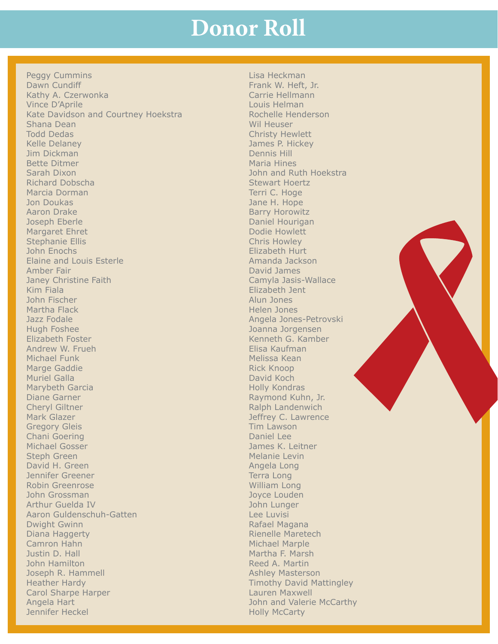Peggy Cummins Dawn Cundiff Kathy A. Czerwonka Vince D'Aprile Kate Davidson and Courtney Hoekstra Shana Dean Todd Dedas Kelle Delaney Jim Dickman Bette Ditmer Sarah Dixon Richard Dobscha Marcia Dorman Jon Doukas Aaron Drake Joseph Eberle Margaret Ehret Stephanie Ellis John Enochs Elaine and Louis Esterle Amber Fair Janey Christine Faith Kim Fiala John Fischer Martha Flack Jazz Fodale Hugh Foshee Elizabeth Foster Andrew W. Frueh Michael Funk Marge Gaddie Muriel Galla Marybeth Garcia Diane Garner Cheryl Giltner Mark Glazer Gregory Gleis Chani Goering Michael Gosser Steph Green David H. Green Jennifer Greener Robin Greenrose John Grossman Arthur Guelda IV Aaron Guldenschuh-Gatten Dwight Gwinn Diana Haggerty Camron Hahn Justin D. Hall John Hamilton Joseph R. Hammell Heather Hardy Carol Sharpe Harper Angela Hart Jennifer Heckel

Lisa Heckman Frank W. Heft, Jr. Carrie Hellmann Louis Helman Rochelle Henderson Wil Heuser Christy Hewlett James P. Hickey Dennis Hill Maria Hines John and Ruth Hoekstra Stewart Hoertz Terri C. Hoge Jane H. Hope Barry Horowitz Daniel Hourigan Dodie Howlett Chris Howley Elizabeth Hurt Amanda Jackson David James Camyla Jasis-Wallace Elizabeth Jent Alun Jones Helen Jones Angela Jones-Petrovski Joanna Jorgensen Kenneth G. Kamber Elisa Kaufman Melissa Kean Rick Knoop David Koch Holly Kondras Raymond Kuhn, Jr. Ralph Landenwich Jeffrey C. Lawrence Tim Lawson Daniel Lee James K. Leitner Melanie Levin Angela Long Terra Long William Long Joyce Louden John Lunger Lee Luvisi Rafael Magana Rienelle Maretech Michael Marple Martha F. Marsh Reed A. Martin Ashley Masterson Timothy David Mattingley Lauren Maxwell John and Valerie McCarthy Holly McCarty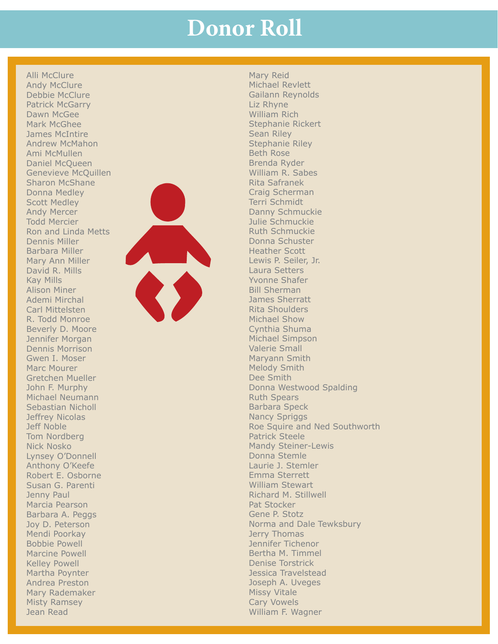Alli McClure Andy McClure Debbie McClure Patrick McGarry Dawn McGee Mark McGhee James McIntire Andrew McMahon Ami McMullen Daniel McQueen Genevieve McQuillen Sharon McShane Donna Medley Scott Medley Andy Mercer Todd Mercier Ron and Linda Metts Dennis Miller Barbara Miller Mary Ann Miller David R. Mills Kay Mills Alison Miner Ademi Mirchal Carl Mittelsten R. Todd Monroe Beverly D. Moore Jennifer Morgan Dennis Morrison Gwen I. Moser Marc Mourer Gretchen Mueller John F. Murphy Michael Neumann Sebastian Nicholl Jeffrey Nicolas Jeff Noble Tom Nordberg Nick Nosko Lynsey O'Donnell Anthony O'Keefe Robert E. Osborne Susan G. Parenti Jenny Paul Marcia Pearson Barbara A. Peggs Joy D. Peterson Mendi Poorkay Bobbie Powell Marcine Powell Kelley Powell Martha Poynter Andrea Preston Mary Rademaker Misty Ramsey Jean Read



Mary Reid Michael Revlett Gailann Reynolds Liz Rhyne William Rich Stephanie Rickert Sean Riley Stephanie Riley Beth Rose Brenda Ryder William R. Sabes Rita Safranek Craig Scherman Terri Schmidt Danny Schmuckie Julie Schmuckie Ruth Schmuckie Donna Schuster Heather Scott Lewis P. Seiler, Jr. Laura Setters Yvonne Shafer Bill Sherman James Sherratt Rita Shoulders Michael Show Cynthia Shuma Michael Simpson Valerie Small Maryann Smith Melody Smith Dee Smith Donna Westwood Spalding Ruth Spears Barbara Speck Nancy Spriggs Roe Squire and Ned Southworth Patrick Steele Mandy Steiner-Lewis Donna Stemle Laurie J. Stemler Emma Sterrett William Stewart Richard M. Stillwell Pat Stocker Gene P. Stotz Norma and Dale Tewksbury Jerry Thomas Jennifer Tichenor Bertha M. Timmel Denise Torstrick Jessica Travelstead Joseph A. Uveges Missy Vitale Cary Vowels William F. Wagner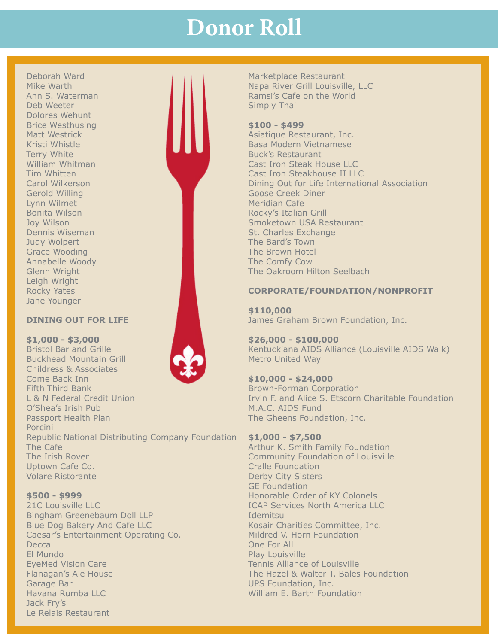Deborah Ward Mike Warth Ann S. Waterman Deb Weeter Dolores Wehunt Brice Westhusing Matt Westrick Kristi Whistle Terry White William Whitman Tim Whitten Carol Wilkerson Gerold Willing Lynn Wilmet Bonita Wilson Joy Wilson Dennis Wiseman Judy Wolpert Grace Wooding Annabelle Woody Glenn Wright Leigh Wright Rocky Yates Jane Younger

#### **DINING OUT FOR LIFE**

Buckhead Mountain Grill Childress & Associates

L & N Federal Credit Union

**\$1,000 - \$3,000** Bristol Bar and Grille

Come Back Inn Fifth Third Bank

O'Shea's Irish Pub Passport Health Plan Porcini Republic National Distributing Company Foundation The Cafe The Irish Rover Uptown Cafe Co. Volare Ristorante

#### **\$500 - \$999**

21C Louisville LLC Bingham Greenebaum Doll LLP Blue Dog Bakery And Cafe LLC Caesar's Entertainment Operating Co. **Decca** El Mundo EyeMed Vision Care Flanagan's Ale House Garage Bar Havana Rumba LLC Jack Fry's Le Relais Restaurant

Marketplace Restaurant Napa River Grill Louisville, LLC Ramsi's Cafe on the World Simply Thai

#### **\$100 - \$499**

Asiatique Restaurant, Inc. Basa Modern Vietnamese Buck's Restaurant Cast Iron Steak House LLC Cast Iron Steakhouse II LLC Dining Out for Life International Association Goose Creek Diner Meridian Cafe Rocky's Italian Grill Smoketown USA Restaurant St. Charles Exchange The Bard's Town The Brown Hotel The Comfy Cow The Oakroom Hilton Seelbach

#### **CORPORATE/FOUNDATION/NONPROFIT**

**\$110,000** James Graham Brown Foundation, Inc.

**\$26,000 - \$100,000** Kentuckiana AIDS Alliance (Louisville AIDS Walk) Metro United Way

**\$10,000 - \$24,000** Brown-Forman Corporation Irvin F. and Alice S. Etscorn Charitable Foundation M.A.C. AIDS Fund The Gheens Foundation, Inc.

#### **\$1,000 - \$7,500**

Arthur K. Smith Family Foundation Community Foundation of Louisville Cralle Foundation Derby City Sisters GE Foundation Honorable Order of KY Colonels ICAP Services North America LLC Idemitsu Kosair Charities Committee, Inc. Mildred V. Horn Foundation One For All Play Louisville Tennis Alliance of Louisville The Hazel & Walter T. Bales Foundation UPS Foundation, Inc. William E. Barth Foundation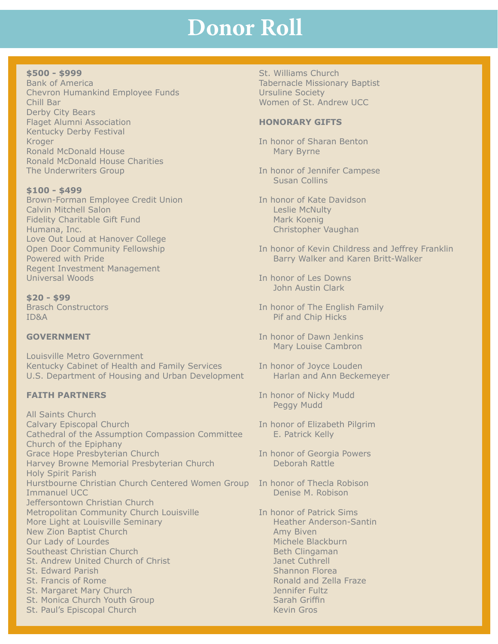#### **\$500 - \$999**

Bank of America Chevron Humankind Employee Funds Chill Bar Derby City Bears Flaget Alumni Association Kentucky Derby Festival **Kroger** Ronald McDonald House Ronald McDonald House Charities The Underwriters Group

**\$100 - \$499** Brown-Forman Employee Credit Union Calvin Mitchell Salon Fidelity Charitable Gift Fund Humana, Inc. Love Out Loud at Hanover College Open Door Community Fellowship Powered with Pride Regent Investment Management Universal Woods

**\$20 - \$99** Brasch Constructors ID&A

#### **GOVERNMENT**

Louisville Metro Government Kentucky Cabinet of Health and Family Services U.S. Department of Housing and Urban Development

#### **FAITH PARTNERS**

All Saints Church Calvary Episcopal Church Cathedral of the Assumption Compassion Committee Church of the Epiphany Grace Hope Presbyterian Church Harvey Browne Memorial Presbyterian Church Holy Spirit Parish Hurstbourne Christian Church Centered Women Group In honor of Thecla Robison Immanuel UCC Jeffersontown Christian Church Metropolitan Community Church Louisville More Light at Louisville Seminary New Zion Baptist Church Our Lady of Lourdes Southeast Christian Church St. Andrew United Church of Christ St. Edward Parish St. Francis of Rome St. Margaret Mary Church St. Monica Church Youth Group St. Paul's Episcopal Church

St. Williams Church Tabernacle Missionary Baptist Ursuline Society Women of St. Andrew UCC

#### **HONORARY GIFTS**

In honor of Sharan Benton Mary Byrne

In honor of Jennifer Campese Susan Collins

In honor of Kate Davidson Leslie McNulty Mark Koenig Christopher Vaughan

- In honor of Kevin Childress and Jeffrey Franklin Barry Walker and Karen Britt-Walker
- In honor of Les Downs John Austin Clark
- In honor of The English Family Pif and Chip Hicks
- In honor of Dawn Jenkins Mary Louise Cambron
- In honor of Joyce Louden Harlan and Ann Beckemeyer
- In honor of Nicky Mudd Peggy Mudd
- In honor of Elizabeth Pilgrim E. Patrick Kelly
- In honor of Georgia Powers Deborah Rattle
- Denise M. Robison
- In honor of Patrick Sims Heather Anderson-Santin Amy Biven Michele Blackburn Beth Clingaman Janet Cuthrell Shannon Florea Ronald and Zella Fraze Jennifer Fultz Sarah Griffin Kevin Gros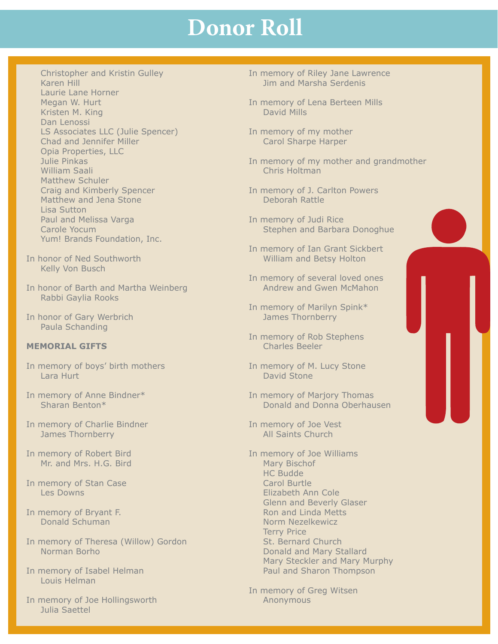- Christopher and Kristin Gulley Karen Hill Laurie Lane Horner Megan W. Hurt Kristen M. King Dan Lenossi LS Associates LLC (Julie Spencer) Chad and Jennifer Miller Opia Properties, LLC Julie Pinkas William Saali Matthew Schuler Craig and Kimberly Spencer Matthew and Jena Stone Lisa Sutton Paul and Melissa Varga Carole Yocum Yum! Brands Foundation, Inc.
- In honor of Ned Southworth Kelly Von Busch
- In honor of Barth and Martha Weinberg Rabbi Gaylia Rooks
- In honor of Gary Werbrich Paula Schanding

#### **MEMORIAL GIFTS**

- In memory of boys' birth mothers Lara Hurt
- In memory of Anne Bindner\* Sharan Benton\*
- In memory of Charlie Bindner James Thornberry
- In memory of Robert Bird Mr. and Mrs. H.G. Bird
- In memory of Stan Case Les Downs
- In memory of Bryant F. Donald Schuman
- In memory of Theresa (Willow) Gordon Norman Borho
- In memory of Isabel Helman Louis Helman
- In memory of Joe Hollingsworth Julia Saettel
- In memory of Riley Jane Lawrence Jim and Marsha Serdenis
- In memory of Lena Berteen Mills David Mills
- In memory of my mother Carol Sharpe Harper
- In memory of my mother and grandmother Chris Holtman
- In memory of J. Carlton Powers Deborah Rattle
- In memory of Judi Rice Stephen and Barbara Donoghue
- In memory of Ian Grant Sickbert William and Betsy Holton
- In memory of several loved ones Andrew and Gwen McMahon
- In memory of Marilyn Spink\* James Thornberry
- In memory of Rob Stephens Charles Beeler
- In memory of M. Lucy Stone David Stone
- In memory of Marjory Thomas Donald and Donna Oberhausen
- In memory of Joe Vest All Saints Church
- In memory of Joe Williams Mary Bischof HC Budde Carol Burtle Elizabeth Ann Cole Glenn and Beverly Glaser Ron and Linda Metts Norm Nezelkewicz Terry Price St. Bernard Church Donald and Mary Stallard Mary Steckler and Mary Murphy Paul and Sharon Thompson
- In memory of Greg Witsen Anonymous